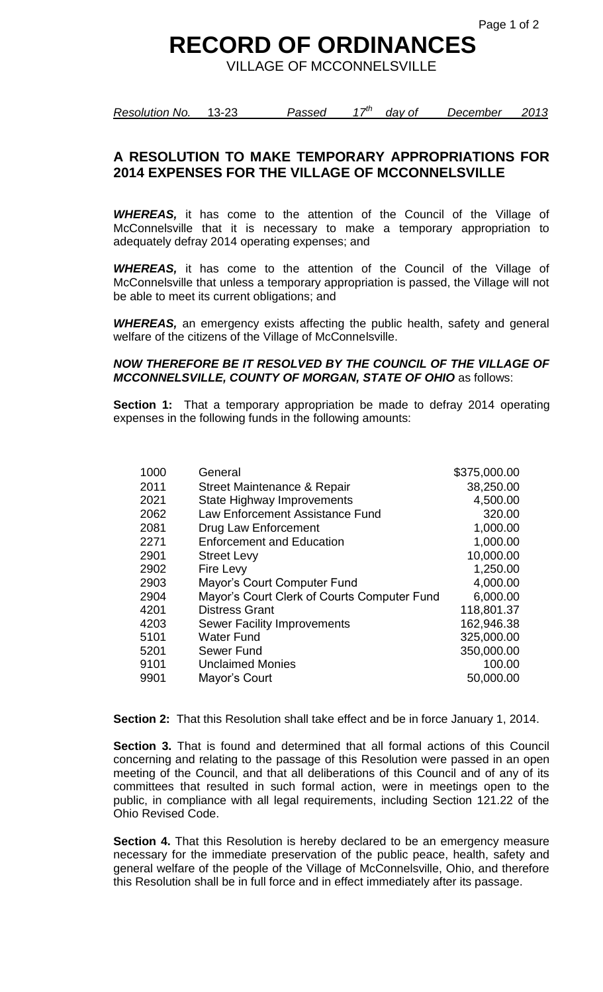## **RECORD OF ORDINANCES**

VILLAGE OF MCCONNELSVILLE

*Resolution No.* 13-23 *Passed 17th day of December 2013*

## **A RESOLUTION TO MAKE TEMPORARY APPROPRIATIONS FOR 2014 EXPENSES FOR THE VILLAGE OF MCCONNELSVILLE**

*WHEREAS,* it has come to the attention of the Council of the Village of McConnelsville that it is necessary to make a temporary appropriation to adequately defray 2014 operating expenses; and

*WHEREAS,* it has come to the attention of the Council of the Village of McConnelsville that unless a temporary appropriation is passed, the Village will not be able to meet its current obligations; and

*WHEREAS,* an emergency exists affecting the public health, safety and general welfare of the citizens of the Village of McConnelsville.

## *NOW THEREFORE BE IT RESOLVED BY THE COUNCIL OF THE VILLAGE OF MCCONNELSVILLE, COUNTY OF MORGAN, STATE OF OHIO* as follows:

**Section 1:** That a temporary appropriation be made to defray 2014 operating expenses in the following funds in the following amounts:

| 1000 | General                                     | \$375,000.00 |
|------|---------------------------------------------|--------------|
| 2011 | Street Maintenance & Repair                 | 38,250.00    |
| 2021 | <b>State Highway Improvements</b>           | 4,500.00     |
| 2062 | Law Enforcement Assistance Fund             | 320.00       |
| 2081 | Drug Law Enforcement                        | 1,000.00     |
| 2271 | <b>Enforcement and Education</b>            | 1,000.00     |
| 2901 | <b>Street Levy</b>                          | 10,000.00    |
| 2902 | Fire Levy                                   | 1,250.00     |
| 2903 | Mayor's Court Computer Fund                 | 4,000.00     |
| 2904 | Mayor's Court Clerk of Courts Computer Fund | 6,000.00     |
| 4201 | <b>Distress Grant</b>                       | 118,801.37   |
| 4203 | Sewer Facility Improvements                 | 162,946.38   |
| 5101 | <b>Water Fund</b>                           | 325,000.00   |
| 5201 | Sewer Fund                                  | 350,000.00   |
| 9101 | <b>Unclaimed Monies</b>                     | 100.00       |
| 9901 | Mayor's Court                               | 50,000.00    |
|      |                                             |              |

**Section 2:** That this Resolution shall take effect and be in force January 1, 2014.

**Section 3.** That is found and determined that all formal actions of this Council concerning and relating to the passage of this Resolution were passed in an open meeting of the Council, and that all deliberations of this Council and of any of its committees that resulted in such formal action, were in meetings open to the public, in compliance with all legal requirements, including Section 121.22 of the Ohio Revised Code.

**Section 4.** That this Resolution is hereby declared to be an emergency measure necessary for the immediate preservation of the public peace, health, safety and general welfare of the people of the Village of McConnelsville, Ohio, and therefore this Resolution shall be in full force and in effect immediately after its passage.